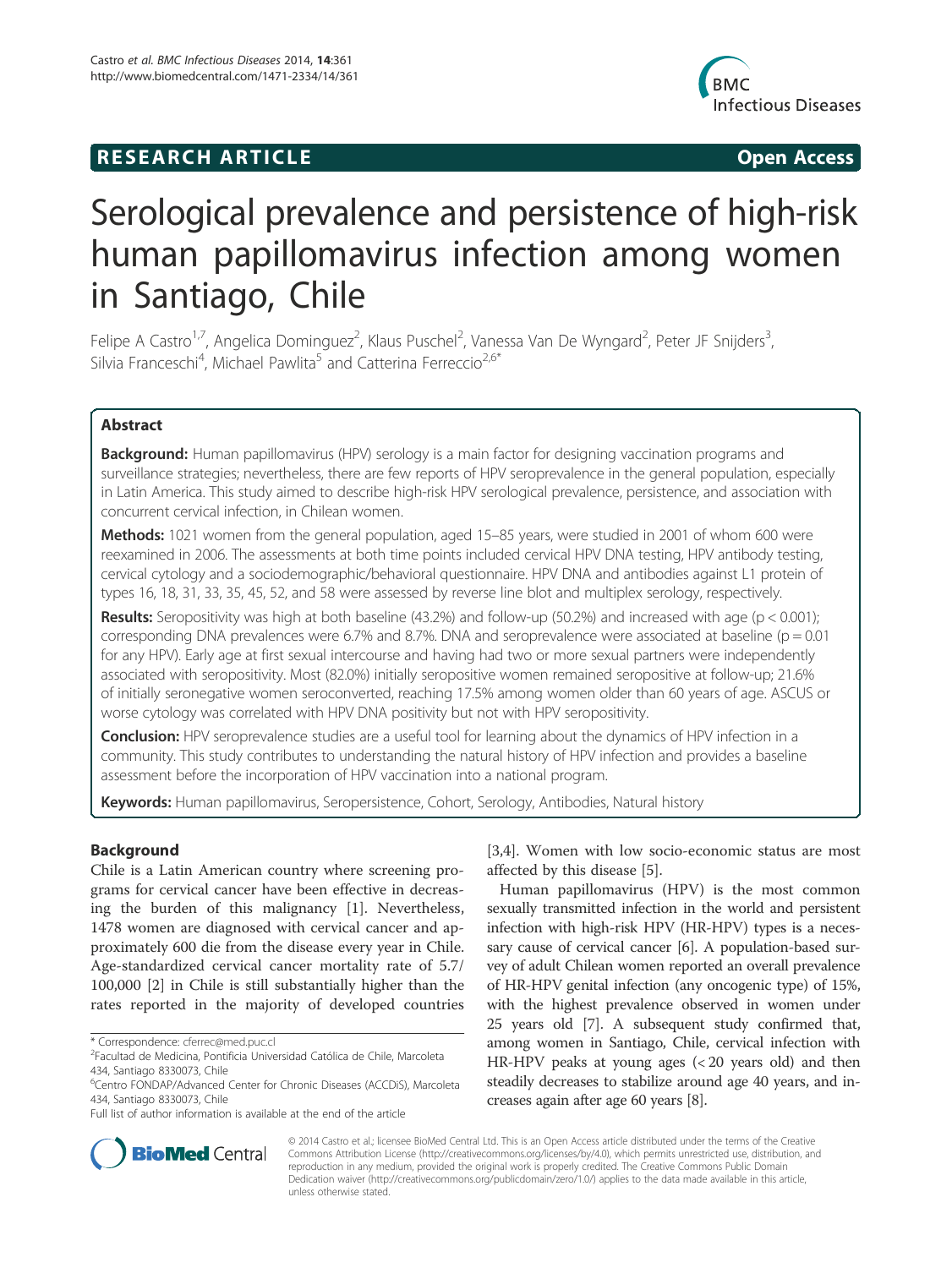# **RESEARCH ARTICLE Example 2014 CONSIDERING CONSIDERING CONSIDERING CONSIDERING CONSIDERING CONSIDERING CONSIDERING CONSIDERING CONSIDERING CONSIDERING CONSIDERING CONSIDERING CONSIDERING CONSIDERING CONSIDERING CONSIDE**



# Serological prevalence and persistence of high-risk human papillomavirus infection among women in Santiago, Chile

Felipe A Castro<sup>1,7</sup>, Angelica Dominguez<sup>2</sup>, Klaus Puschel<sup>2</sup>, Vanessa Van De Wyngard<sup>2</sup>, Peter JF Snijders<sup>3</sup> , Silvia Franceschi<sup>4</sup>, Michael Pawlita<sup>5</sup> and Catterina Ferreccio<sup>2,6\*</sup>

# Abstract

Background: Human papillomavirus (HPV) serology is a main factor for designing vaccination programs and surveillance strategies; nevertheless, there are few reports of HPV seroprevalence in the general population, especially in Latin America. This study aimed to describe high-risk HPV serological prevalence, persistence, and association with concurrent cervical infection, in Chilean women.

**Methods:** 1021 women from the general population, aged 15–85 years, were studied in 2001 of whom 600 were reexamined in 2006. The assessments at both time points included cervical HPV DNA testing, HPV antibody testing, cervical cytology and a sociodemographic/behavioral questionnaire. HPV DNA and antibodies against L1 protein of types 16, 18, 31, 33, 35, 45, 52, and 58 were assessed by reverse line blot and multiplex serology, respectively.

**Results:** Seropositivity was high at both baseline (43.2%) and follow-up (50.2%) and increased with age (p < 0.001); corresponding DNA prevalences were 6.7% and 8.7%. DNA and seroprevalence were associated at baseline (p = 0.01 for any HPV). Early age at first sexual intercourse and having had two or more sexual partners were independently associated with seropositivity. Most (82.0%) initially seropositive women remained seropositive at follow-up; 21.6% of initially seronegative women seroconverted, reaching 17.5% among women older than 60 years of age. ASCUS or worse cytology was correlated with HPV DNA positivity but not with HPV seropositivity.

Conclusion: HPV seroprevalence studies are a useful tool for learning about the dynamics of HPV infection in a community. This study contributes to understanding the natural history of HPV infection and provides a baseline assessment before the incorporation of HPV vaccination into a national program.

Keywords: Human papillomavirus, Seropersistence, Cohort, Serology, Antibodies, Natural history

# Background

Chile is a Latin American country where screening programs for cervical cancer have been effective in decreasing the burden of this malignancy [1]. Nevertheless, 1478 women are diagnosed with cervical cancer and approximately 600 die from the disease every year in Chile. Age-standardized cervical cancer mortality rate of 5.7/ 100,000 [2] in Chile is still substantially higher than the rates reported in the majority of developed countries [3,4]. Women with low socio-economic status are most affected by this disease [5].

Human papillomavirus (HPV) is the most common sexually transmitted infection in the world and persistent infection with high-risk HPV (HR-HPV) types is a necessary cause of cervical cancer [6]. A population-based survey of adult Chilean women reported an overall prevalence of HR-HPV genital infection (any oncogenic type) of 15%, with the highest prevalence observed in women under 25 years old [7]. A subsequent study confirmed that, among women in Santiago, Chile, cervical infection with HR-HPV peaks at young ages (< 20 years old) and then steadily decreases to stabilize around age 40 years, and increases again after age 60 years [8].



© 2014 Castro et al.; licensee BioMed Central Ltd. This is an Open Access article distributed under the terms of the Creative Commons Attribution License (http://creativecommons.org/licenses/by/4.0), which permits unrestricted use, distribution, and reproduction in any medium, provided the original work is properly credited. The Creative Commons Public Domain Dedication waiver (http://creativecommons.org/publicdomain/zero/1.0/) applies to the data made available in this article, unless otherwise stated.

<sup>\*</sup> Correspondence: cferrec@med.puc.cl <sup>2</sup>

Facultad de Medicina, Pontificia Universidad Católica de Chile, Marcoleta 434, Santiago 8330073, Chile

<sup>6</sup> Centro FONDAP/Advanced Center for Chronic Diseases (ACCDiS), Marcoleta 434, Santiago 8330073, Chile

Full list of author information is available at the end of the article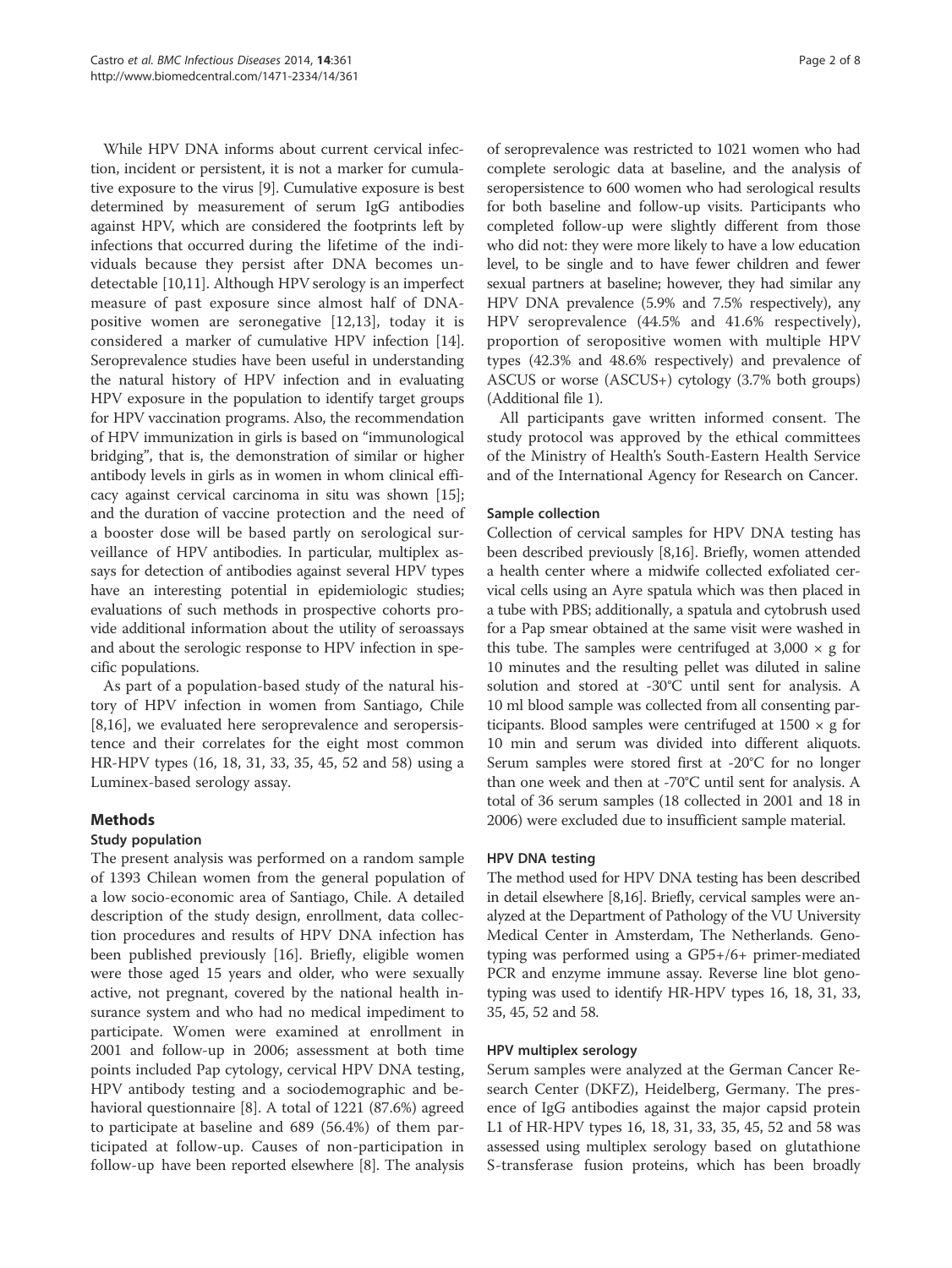While HPV DNA informs about current cervical infection, incident or persistent, it is not a marker for cumulative exposure to the virus [9]. Cumulative exposure is best determined by measurement of serum IgG antibodies against HPV, which are considered the footprints left by infections that occurred during the lifetime of the individuals because they persist after DNA becomes undetectable [10,11]. Although HPV serology is an imperfect measure of past exposure since almost half of DNApositive women are seronegative [12,13], today it is considered a marker of cumulative HPV infection [14]. Seroprevalence studies have been useful in understanding the natural history of HPV infection and in evaluating HPV exposure in the population to identify target groups for HPV vaccination programs. Also, the recommendation of HPV immunization in girls is based on "immunological bridging", that is, the demonstration of similar or higher antibody levels in girls as in women in whom clinical efficacy against cervical carcinoma in situ was shown [15]; and the duration of vaccine protection and the need of a booster dose will be based partly on serological surveillance of HPV antibodies. In particular, multiplex assays for detection of antibodies against several HPV types have an interesting potential in epidemiologic studies; evaluations of such methods in prospective cohorts provide additional information about the utility of seroassays and about the serologic response to HPV infection in specific populations.

As part of a population-based study of the natural history of HPV infection in women from Santiago, Chile [8,16], we evaluated here seroprevalence and seropersistence and their correlates for the eight most common HR-HPV types (16, 18, 31, 33, 35, 45, 52 and 58) using a Luminex-based serology assay.

# Methods

# Study population

The present analysis was performed on a random sample of 1393 Chilean women from the general population of a low socio-economic area of Santiago, Chile. A detailed description of the study design, enrollment, data collection procedures and results of HPV DNA infection has been published previously [16]. Briefly, eligible women were those aged 15 years and older, who were sexually active, not pregnant, covered by the national health insurance system and who had no medical impediment to participate. Women were examined at enrollment in 2001 and follow-up in 2006; assessment at both time points included Pap cytology, cervical HPV DNA testing, HPV antibody testing and a sociodemographic and behavioral questionnaire [8]. A total of 1221 (87.6%) agreed to participate at baseline and 689 (56.4%) of them participated at follow-up. Causes of non-participation in follow-up have been reported elsewhere [8]. The analysis

of seroprevalence was restricted to 1021 women who had complete serologic data at baseline, and the analysis of seropersistence to 600 women who had serological results for both baseline and follow-up visits. Participants who completed follow-up were slightly different from those who did not: they were more likely to have a low education level, to be single and to have fewer children and fewer sexual partners at baseline; however, they had similar any HPV DNA prevalence (5.9% and 7.5% respectively), any HPV seroprevalence (44.5% and 41.6% respectively), proportion of seropositive women with multiple HPV types (42.3% and 48.6% respectively) and prevalence of ASCUS or worse (ASCUS+) cytology (3.7% both groups) (Additional file 1).

All participants gave written informed consent. The study protocol was approved by the ethical committees of the Ministry of Health's South-Eastern Health Service and of the International Agency for Research on Cancer.

### Sample collection

Collection of cervical samples for HPV DNA testing has been described previously [8,16]. Briefly, women attended a health center where a midwife collected exfoliated cervical cells using an Ayre spatula which was then placed in a tube with PBS; additionally, a spatula and cytobrush used for a Pap smear obtained at the same visit were washed in this tube. The samples were centrifuged at  $3,000 \times g$  for 10 minutes and the resulting pellet was diluted in saline solution and stored at -30°C until sent for analysis. A 10 ml blood sample was collected from all consenting participants. Blood samples were centrifuged at  $1500 \times g$  for 10 min and serum was divided into different aliquots. Serum samples were stored first at -20°C for no longer than one week and then at -70°C until sent for analysis. A total of 36 serum samples (18 collected in 2001 and 18 in 2006) were excluded due to insufficient sample material.

#### HPV DNA testing

The method used for HPV DNA testing has been described in detail elsewhere [8,16]. Briefly, cervical samples were analyzed at the Department of Pathology of the VU University Medical Center in Amsterdam, The Netherlands. Genotyping was performed using a GP5+/6+ primer-mediated PCR and enzyme immune assay. Reverse line blot genotyping was used to identify HR-HPV types 16, 18, 31, 33, 35, 45, 52 and 58.

#### HPV multiplex serology

Serum samples were analyzed at the German Cancer Research Center (DKFZ), Heidelberg, Germany. The presence of IgG antibodies against the major capsid protein L1 of HR-HPV types 16, 18, 31, 33, 35, 45, 52 and 58 was assessed using multiplex serology based on glutathione S-transferase fusion proteins, which has been broadly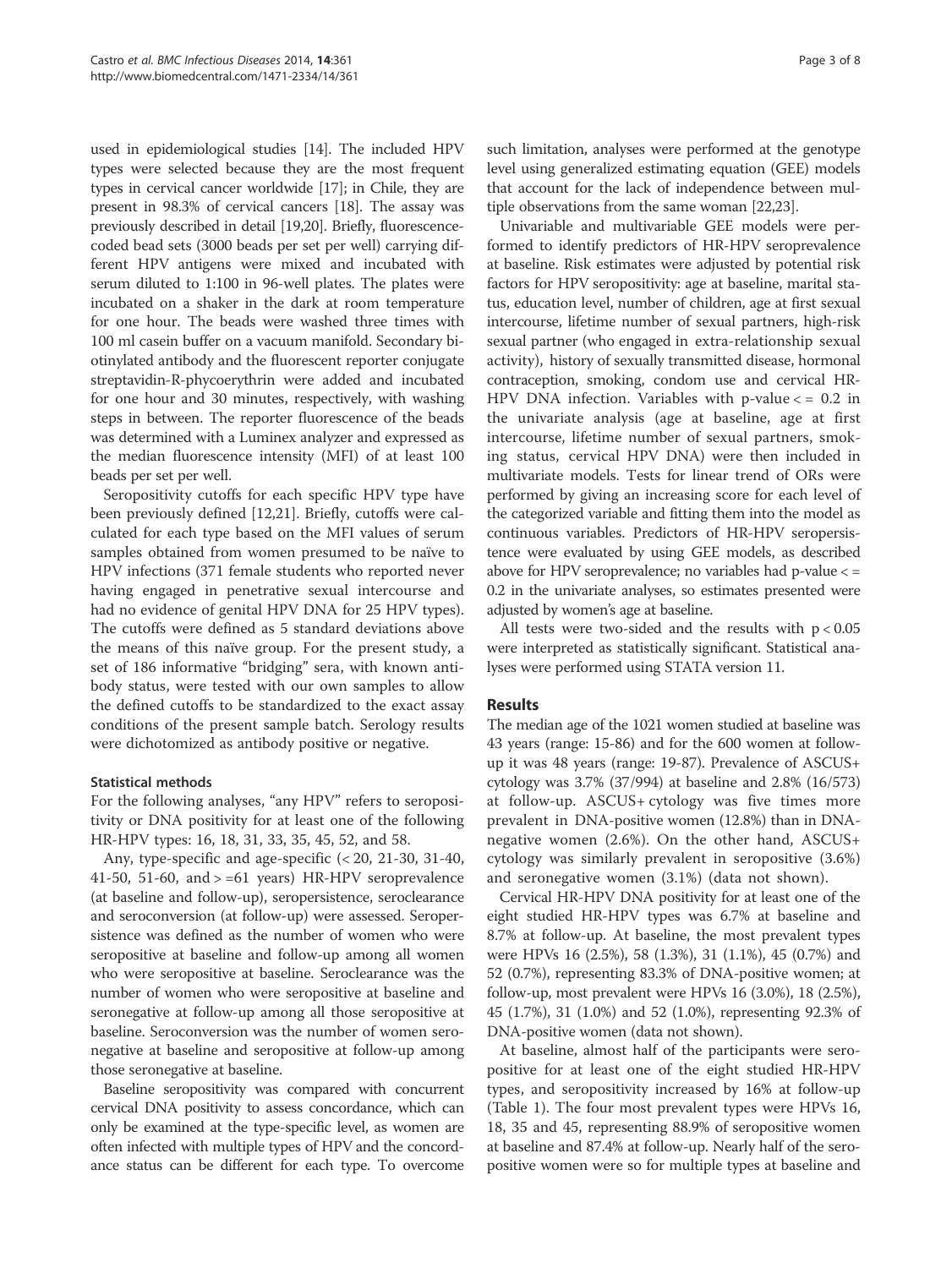used in epidemiological studies [14]. The included HPV types were selected because they are the most frequent types in cervical cancer worldwide [17]; in Chile, they are present in 98.3% of cervical cancers [18]. The assay was previously described in detail [19,20]. Briefly, fluorescencecoded bead sets (3000 beads per set per well) carrying different HPV antigens were mixed and incubated with serum diluted to 1:100 in 96-well plates. The plates were incubated on a shaker in the dark at room temperature for one hour. The beads were washed three times with 100 ml casein buffer on a vacuum manifold. Secondary biotinylated antibody and the fluorescent reporter conjugate streptavidin-R-phycoerythrin were added and incubated for one hour and 30 minutes, respectively, with washing steps in between. The reporter fluorescence of the beads was determined with a Luminex analyzer and expressed as the median fluorescence intensity (MFI) of at least 100 beads per set per well.

Seropositivity cutoffs for each specific HPV type have been previously defined [12,21]. Briefly, cutoffs were calculated for each type based on the MFI values of serum samples obtained from women presumed to be naïve to HPV infections (371 female students who reported never having engaged in penetrative sexual intercourse and had no evidence of genital HPV DNA for 25 HPV types). The cutoffs were defined as 5 standard deviations above the means of this naïve group. For the present study, a set of 186 informative "bridging" sera, with known antibody status, were tested with our own samples to allow the defined cutoffs to be standardized to the exact assay conditions of the present sample batch. Serology results were dichotomized as antibody positive or negative.

#### Statistical methods

For the following analyses, "any HPV" refers to seropositivity or DNA positivity for at least one of the following HR-HPV types: 16, 18, 31, 33, 35, 45, 52, and 58.

Any, type-specific and age-specific (< 20, 21-30, 31-40, 41-50, 51-60, and  $> = 61$  years) HR-HPV seroprevalence (at baseline and follow-up), seropersistence, seroclearance and seroconversion (at follow-up) were assessed. Seropersistence was defined as the number of women who were seropositive at baseline and follow-up among all women who were seropositive at baseline. Seroclearance was the number of women who were seropositive at baseline and seronegative at follow-up among all those seropositive at baseline. Seroconversion was the number of women seronegative at baseline and seropositive at follow-up among those seronegative at baseline.

Baseline seropositivity was compared with concurrent cervical DNA positivity to assess concordance, which can only be examined at the type-specific level, as women are often infected with multiple types of HPV and the concordance status can be different for each type. To overcome

such limitation, analyses were performed at the genotype level using generalized estimating equation (GEE) models that account for the lack of independence between multiple observations from the same woman [22,23].

Univariable and multivariable GEE models were performed to identify predictors of HR-HPV seroprevalence at baseline. Risk estimates were adjusted by potential risk factors for HPV seropositivity: age at baseline, marital status, education level, number of children, age at first sexual intercourse, lifetime number of sexual partners, high-risk sexual partner (who engaged in extra-relationship sexual activity), history of sexually transmitted disease, hormonal contraception, smoking, condom use and cervical HR-HPV DNA infection. Variables with p-value < = 0.2 in the univariate analysis (age at baseline, age at first intercourse, lifetime number of sexual partners, smoking status, cervical HPV DNA) were then included in multivariate models. Tests for linear trend of ORs were performed by giving an increasing score for each level of the categorized variable and fitting them into the model as continuous variables. Predictors of HR-HPV seropersistence were evaluated by using GEE models, as described above for HPV seroprevalence; no variables had p-value < = 0.2 in the univariate analyses, so estimates presented were adjusted by women's age at baseline.

All tests were two-sided and the results with  $p < 0.05$ were interpreted as statistically significant. Statistical analyses were performed using STATA version 11.

# **Results**

The median age of the 1021 women studied at baseline was 43 years (range: 15-86) and for the 600 women at followup it was 48 years (range: 19-87). Prevalence of ASCUS+ cytology was 3.7% (37/994) at baseline and 2.8% (16/573) at follow-up. ASCUS+ cytology was five times more prevalent in DNA-positive women (12.8%) than in DNAnegative women (2.6%). On the other hand, ASCUS+ cytology was similarly prevalent in seropositive (3.6%) and seronegative women (3.1%) (data not shown).

Cervical HR-HPV DNA positivity for at least one of the eight studied HR-HPV types was 6.7% at baseline and 8.7% at follow-up. At baseline, the most prevalent types were HPVs 16 (2.5%), 58 (1.3%), 31 (1.1%), 45 (0.7%) and 52 (0.7%), representing 83.3% of DNA-positive women; at follow-up, most prevalent were HPVs 16 (3.0%), 18 (2.5%), 45 (1.7%), 31 (1.0%) and 52 (1.0%), representing 92.3% of DNA-positive women (data not shown).

At baseline, almost half of the participants were seropositive for at least one of the eight studied HR-HPV types, and seropositivity increased by 16% at follow-up (Table 1). The four most prevalent types were HPVs 16, 18, 35 and 45, representing 88.9% of seropositive women at baseline and 87.4% at follow-up. Nearly half of the seropositive women were so for multiple types at baseline and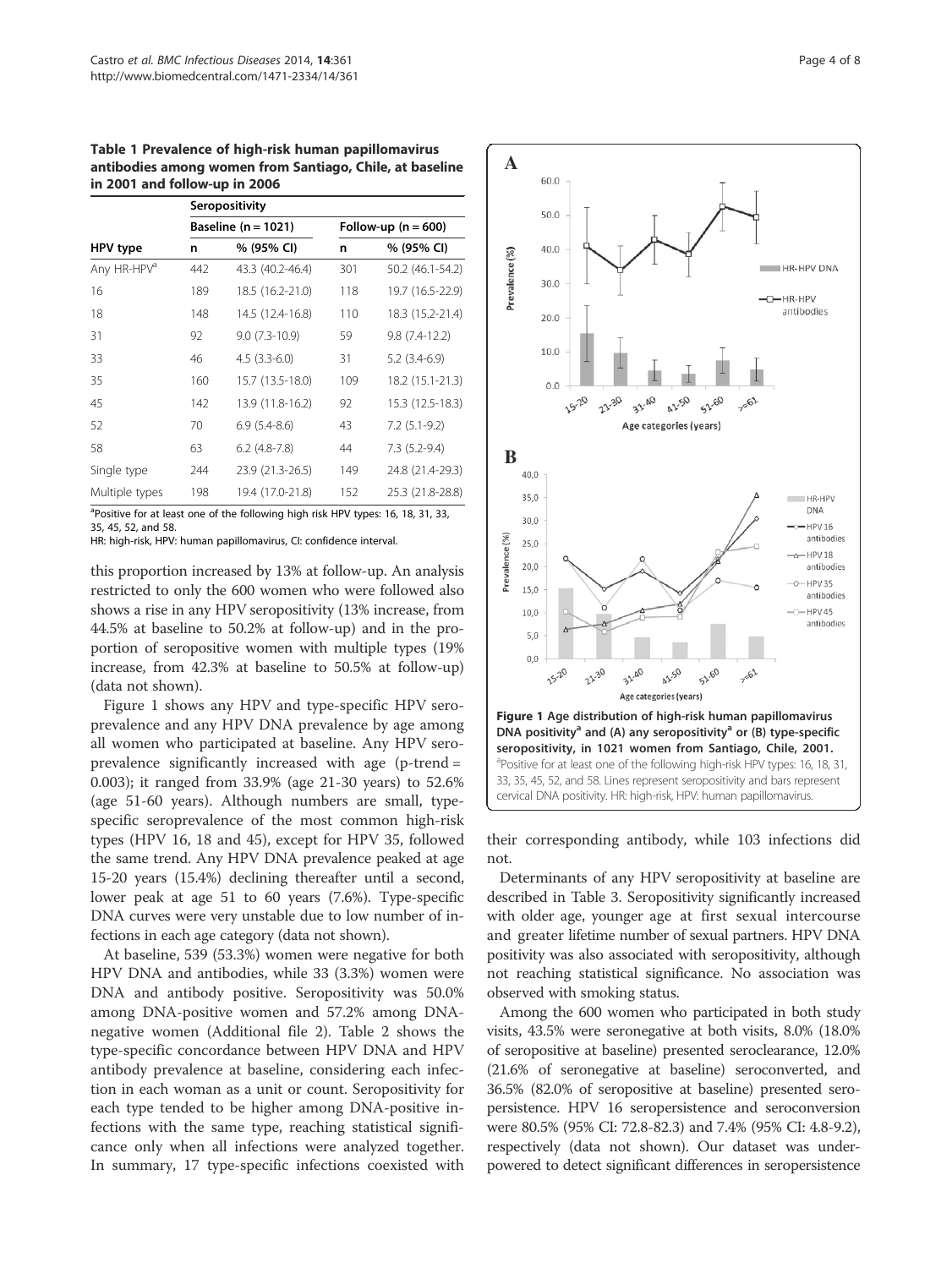Table 1 Prevalence of high-risk human papillomavirus antibodies among women from Santiago, Chile, at baseline in 2001 and follow-up in 2006

|                         | Seropositivity          |                  |                       |                  |  |
|-------------------------|-------------------------|------------------|-----------------------|------------------|--|
|                         | Baseline ( $n = 1021$ ) |                  | Follow-up $(n = 600)$ |                  |  |
| HPV type                | n                       | % (95% CI)       | n                     | % (95% CI)       |  |
| Any HR-HPV <sup>a</sup> | 442                     | 43.3 (40.2-46.4) | 301                   | 50.2 (46.1-54.2) |  |
| 16                      | 189                     | 18.5 (16.2-21.0) | 118                   | 19.7 (16.5-22.9) |  |
| 18                      | 148                     | 14.5 (12.4-16.8) | 110                   | 18.3 (15.2-21.4) |  |
| 31                      | 92                      | $9.0(7.3-10.9)$  | 59                    | $9.8(7.4-12.2)$  |  |
| 33                      | 46                      | $4.5(3.3-6.0)$   | 31                    | $5.2(3.4-6.9)$   |  |
| 35                      | 160                     | 15.7 (13.5-18.0) | 109                   | 18.2 (15.1-21.3) |  |
| 45                      | 142                     | 13.9 (11.8-16.2) | 92                    | 15.3 (12.5-18.3) |  |
| 52                      | 70                      | $6.9(5.4-8.6)$   | 43                    | $7.2(5.1-9.2)$   |  |
| 58                      | 63                      | $6.2$ (4.8-7.8)  | 44                    | $7.3(5.2-9.4)$   |  |
| Single type             | 244                     | 23.9 (21.3-26.5) | 149                   | 24.8 (21.4-29.3) |  |
| Multiple types          | 198                     | 19.4 (17.0-21.8) | 152                   | 25.3 (21.8-28.8) |  |

<sup>a</sup>Positive for at least one of the following high risk HPV types: 16, 18, 31, 33, 35, 45, 52, and 58.

HR: high-risk, HPV: human papillomavirus, CI: confidence interval.

this proportion increased by 13% at follow-up. An analysis restricted to only the 600 women who were followed also shows a rise in any HPV seropositivity (13% increase, from 44.5% at baseline to 50.2% at follow-up) and in the proportion of seropositive women with multiple types (19% increase, from 42.3% at baseline to 50.5% at follow-up) (data not shown).

Figure 1 shows any HPV and type-specific HPV seroprevalence and any HPV DNA prevalence by age among all women who participated at baseline. Any HPV seroprevalence significantly increased with age (p-trend = 0.003); it ranged from 33.9% (age 21-30 years) to 52.6% (age 51-60 years). Although numbers are small, typespecific seroprevalence of the most common high-risk types (HPV 16, 18 and 45), except for HPV 35, followed the same trend. Any HPV DNA prevalence peaked at age 15-20 years (15.4%) declining thereafter until a second, lower peak at age 51 to 60 years (7.6%). Type-specific DNA curves were very unstable due to low number of infections in each age category (data not shown).

At baseline, 539 (53.3%) women were negative for both HPV DNA and antibodies, while 33 (3.3%) women were DNA and antibody positive. Seropositivity was 50.0% among DNA-positive women and 57.2% among DNAnegative women (Additional file 2). Table 2 shows the type-specific concordance between HPV DNA and HPV antibody prevalence at baseline, considering each infection in each woman as a unit or count. Seropositivity for each type tended to be higher among DNA-positive infections with the same type, reaching statistical significance only when all infections were analyzed together. In summary, 17 type-specific infections coexisted with





their corresponding antibody, while 103 infections did not.

Determinants of any HPV seropositivity at baseline are described in Table 3. Seropositivity significantly increased with older age, younger age at first sexual intercourse and greater lifetime number of sexual partners. HPV DNA positivity was also associated with seropositivity, although not reaching statistical significance. No association was observed with smoking status.

Among the 600 women who participated in both study visits, 43.5% were seronegative at both visits, 8.0% (18.0% of seropositive at baseline) presented seroclearance, 12.0% (21.6% of seronegative at baseline) seroconverted, and 36.5% (82.0% of seropositive at baseline) presented seropersistence. HPV 16 seropersistence and seroconversion were 80.5% (95% CI: 72.8-82.3) and 7.4% (95% CI: 4.8-9.2), respectively (data not shown). Our dataset was underpowered to detect significant differences in seropersistence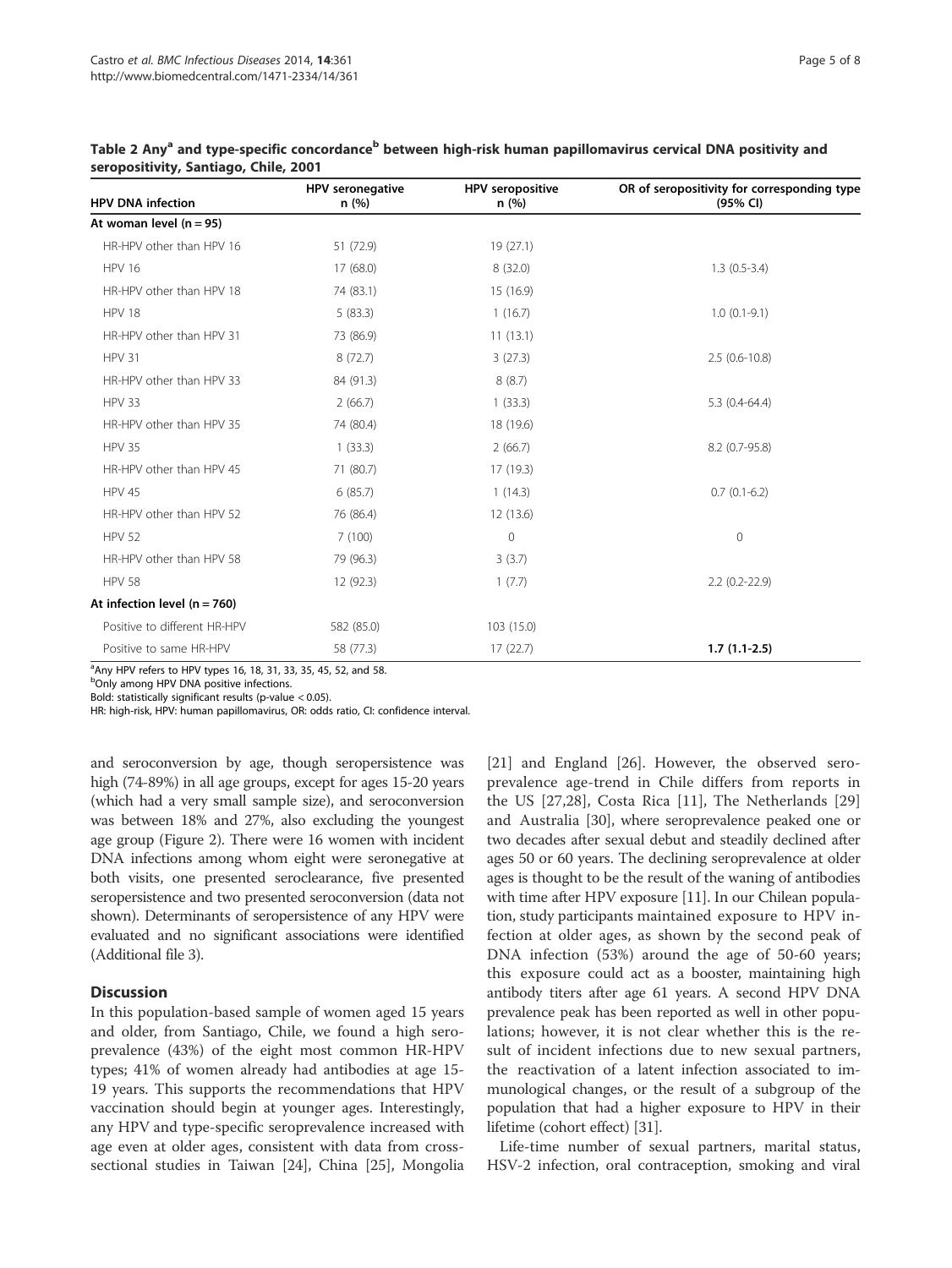| <b>HPV DNA infection</b>       | HPV seronegative<br>n(%) | <b>HPV</b> seropositive<br>n(%) | OR of seropositivity for corresponding type<br>(95% CI) |
|--------------------------------|--------------------------|---------------------------------|---------------------------------------------------------|
| At woman level $(n = 95)$      |                          |                                 |                                                         |
| HR-HPV other than HPV 16       | 51 (72.9)                | 19(27.1)                        |                                                         |
| <b>HPV 16</b>                  | 17 (68.0)                | 8(32.0)                         | $1.3(0.5-3.4)$                                          |
| HR-HPV other than HPV 18       | 74 (83.1)                | 15 (16.9)                       |                                                         |
| <b>HPV 18</b>                  | 5(83.3)                  | 1(16.7)                         | $1.0(0.1-9.1)$                                          |
| HR-HPV other than HPV 31       | 73 (86.9)                | 11(13.1)                        |                                                         |
| <b>HPV 31</b>                  | 8(72.7)                  | 3(27.3)                         | $2.5(0.6-10.8)$                                         |
| HR-HPV other than HPV 33       | 84 (91.3)                | 8(8.7)                          |                                                         |
| <b>HPV 33</b>                  | 2(66.7)                  | 1(33.3)                         | $5.3(0.4-64.4)$                                         |
| HR-HPV other than HPV 35       | 74 (80.4)                | 18 (19.6)                       |                                                         |
| <b>HPV 35</b>                  | 1(33.3)                  | 2(66.7)                         | 8.2 (0.7-95.8)                                          |
| HR-HPV other than HPV 45       | 71 (80.7)                | 17 (19.3)                       |                                                         |
| <b>HPV 45</b>                  | 6(85.7)                  | 1(14.3)                         | $0.7(0.1-6.2)$                                          |
| HR-HPV other than HPV 52       | 76 (86.4)                | 12 (13.6)                       |                                                         |
| <b>HPV 52</b>                  | 7(100)                   | $\mathbf{0}$                    | $\mathbf{0}$                                            |
| HR-HPV other than HPV 58       | 79 (96.3)                | 3(3.7)                          |                                                         |
| <b>HPV 58</b>                  | 12 (92.3)                | 1(7.7)                          | $2.2$ (0.2-22.9)                                        |
| At infection level $(n = 760)$ |                          |                                 |                                                         |
| Positive to different HR-HPV   | 582 (85.0)               | 103 (15.0)                      |                                                         |
| Positive to same HR-HPV        | 58 (77.3)                | 17(22.7)                        | $1.7(1.1-2.5)$                                          |

Table 2 Any<sup>a</sup> and type-specific concordance<sup>b</sup> between high-risk human papillomavirus cervical DNA positivity and seropositivity, Santiago, Chile, 2001

Any HPV refers to HPV types 16, 18, 31, 33, 35, 45, 52, and 58.

<sup>b</sup>Only among HPV DNA positive infections.

Bold: statistically significant results (p-value < 0.05).

HR: high-risk, HPV: human papillomavirus, OR: odds ratio, CI: confidence interval.

and seroconversion by age, though seropersistence was high (74-89%) in all age groups, except for ages 15-20 years (which had a very small sample size), and seroconversion was between 18% and 27%, also excluding the youngest age group (Figure 2). There were 16 women with incident DNA infections among whom eight were seronegative at both visits, one presented seroclearance, five presented seropersistence and two presented seroconversion (data not shown). Determinants of seropersistence of any HPV were evaluated and no significant associations were identified (Additional file 3).

# **Discussion**

In this population-based sample of women aged 15 years and older, from Santiago, Chile, we found a high seroprevalence (43%) of the eight most common HR-HPV types; 41% of women already had antibodies at age 15- 19 years. This supports the recommendations that HPV vaccination should begin at younger ages. Interestingly, any HPV and type-specific seroprevalence increased with age even at older ages, consistent with data from crosssectional studies in Taiwan [24], China [25], Mongolia

[21] and England [26]. However, the observed seroprevalence age-trend in Chile differs from reports in the US [27,28], Costa Rica [11], The Netherlands [29] and Australia [30], where seroprevalence peaked one or two decades after sexual debut and steadily declined after ages 50 or 60 years. The declining seroprevalence at older ages is thought to be the result of the waning of antibodies with time after HPV exposure [11]. In our Chilean population, study participants maintained exposure to HPV infection at older ages, as shown by the second peak of DNA infection (53%) around the age of 50-60 years; this exposure could act as a booster, maintaining high antibody titers after age 61 years. A second HPV DNA prevalence peak has been reported as well in other populations; however, it is not clear whether this is the result of incident infections due to new sexual partners, the reactivation of a latent infection associated to immunological changes, or the result of a subgroup of the population that had a higher exposure to HPV in their lifetime (cohort effect) [31].

Life-time number of sexual partners, marital status, HSV-2 infection, oral contraception, smoking and viral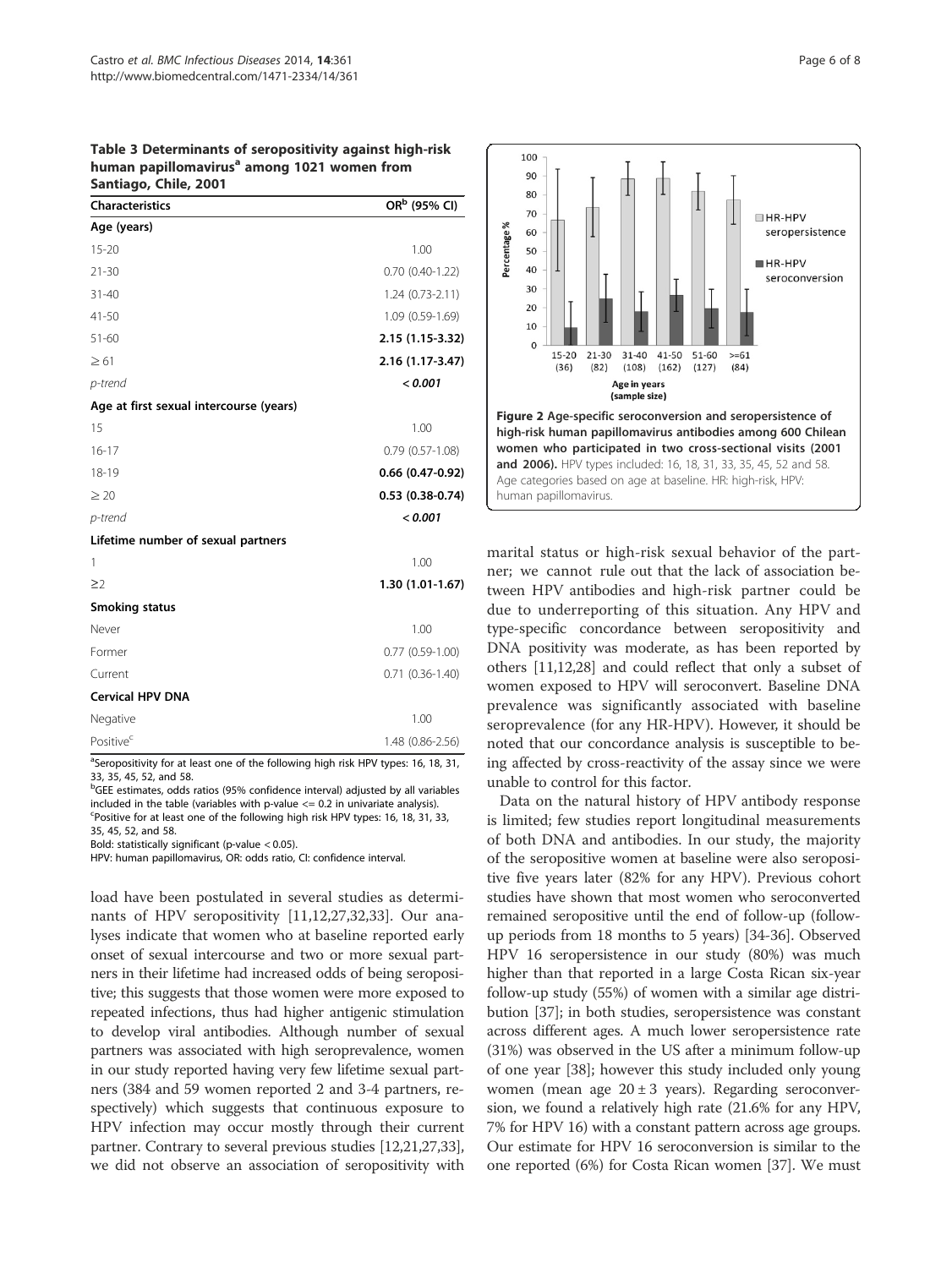Table 3 Determinants of seropositivity against high-risk human papillomavirus<sup>a</sup> among 1021 women from Santiago, Chile, 2001

| <b>Characteristics</b>                  | OR <sup>b</sup> (95% CI) |
|-----------------------------------------|--------------------------|
| Age (years)                             |                          |
| $15 - 20$                               | 1.00                     |
| $21 - 30$                               | $0.70(0.40-1.22)$        |
| $31 - 40$                               | $1.24(0.73-2.11)$        |
| $41 - 50$                               | 1.09 (0.59-1.69)         |
| $51 - 60$                               | 2.15 (1.15-3.32)         |
| $\geq 61$                               | 2.16 (1.17-3.47)         |
| p-trend                                 | < 0.001                  |
| Age at first sexual intercourse (years) |                          |
| 15                                      | 1.00                     |
| $16 - 17$                               | $0.79(0.57-1.08)$        |
| 18-19                                   | $0.66$ (0.47-0.92)       |
| $\geq 20$                               | $0.53(0.38-0.74)$        |
| p-trend                                 | < 0.001                  |
| Lifetime number of sexual partners      |                          |
| 1                                       | 1.00                     |
| $\geq$ 2                                | 1.30 (1.01-1.67)         |
| Smoking status                          |                          |
| Never                                   | 1.00                     |
| Former                                  | $0.77(0.59-1.00)$        |
| Current                                 | $0.71(0.36-1.40)$        |
| <b>Cervical HPV DNA</b>                 |                          |
| Negative                                | 1.00                     |
| Positive <sup>c</sup>                   | 1.48 (0.86-2.56)         |

<sup>a</sup>Seropositivity for at least one of the following high risk HPV types: 16, 18, 31, 33, 35, 45, 52, and 58.

<sup>b</sup>GEE estimates, odds ratios (95% confidence interval) adjusted by all variables included in the table (variables with p-value  $\leq$  0.2 in univariate analysis). Positive for at least one of the following high risk HPV types: 16, 18, 31, 33, 35, 45, 52, and 58.

Bold: statistically significant (p-value < 0.05).

HPV: human papillomavirus, OR: odds ratio, CI: confidence interval.

load have been postulated in several studies as determinants of HPV seropositivity [11,12,27,32,33]. Our analyses indicate that women who at baseline reported early onset of sexual intercourse and two or more sexual partners in their lifetime had increased odds of being seropositive; this suggests that those women were more exposed to repeated infections, thus had higher antigenic stimulation to develop viral antibodies. Although number of sexual partners was associated with high seroprevalence, women in our study reported having very few lifetime sexual partners (384 and 59 women reported 2 and 3-4 partners, respectively) which suggests that continuous exposure to HPV infection may occur mostly through their current partner. Contrary to several previous studies [12,21,27,33], we did not observe an association of seropositivity with



marital status or high-risk sexual behavior of the partner; we cannot rule out that the lack of association between HPV antibodies and high-risk partner could be due to underreporting of this situation. Any HPV and type-specific concordance between seropositivity and DNA positivity was moderate, as has been reported by others [11,12,28] and could reflect that only a subset of women exposed to HPV will seroconvert. Baseline DNA prevalence was significantly associated with baseline seroprevalence (for any HR-HPV). However, it should be noted that our concordance analysis is susceptible to being affected by cross-reactivity of the assay since we were unable to control for this factor.

Data on the natural history of HPV antibody response is limited; few studies report longitudinal measurements of both DNA and antibodies. In our study, the majority of the seropositive women at baseline were also seropositive five years later (82% for any HPV). Previous cohort studies have shown that most women who seroconverted remained seropositive until the end of follow-up (followup periods from 18 months to 5 years) [34-36]. Observed HPV 16 seropersistence in our study (80%) was much higher than that reported in a large Costa Rican six-year follow-up study (55%) of women with a similar age distribution [37]; in both studies, seropersistence was constant across different ages. A much lower seropersistence rate (31%) was observed in the US after a minimum follow-up of one year [38]; however this study included only young women (mean age  $20 \pm 3$  years). Regarding seroconversion, we found a relatively high rate (21.6% for any HPV, 7% for HPV 16) with a constant pattern across age groups. Our estimate for HPV 16 seroconversion is similar to the one reported (6%) for Costa Rican women [37]. We must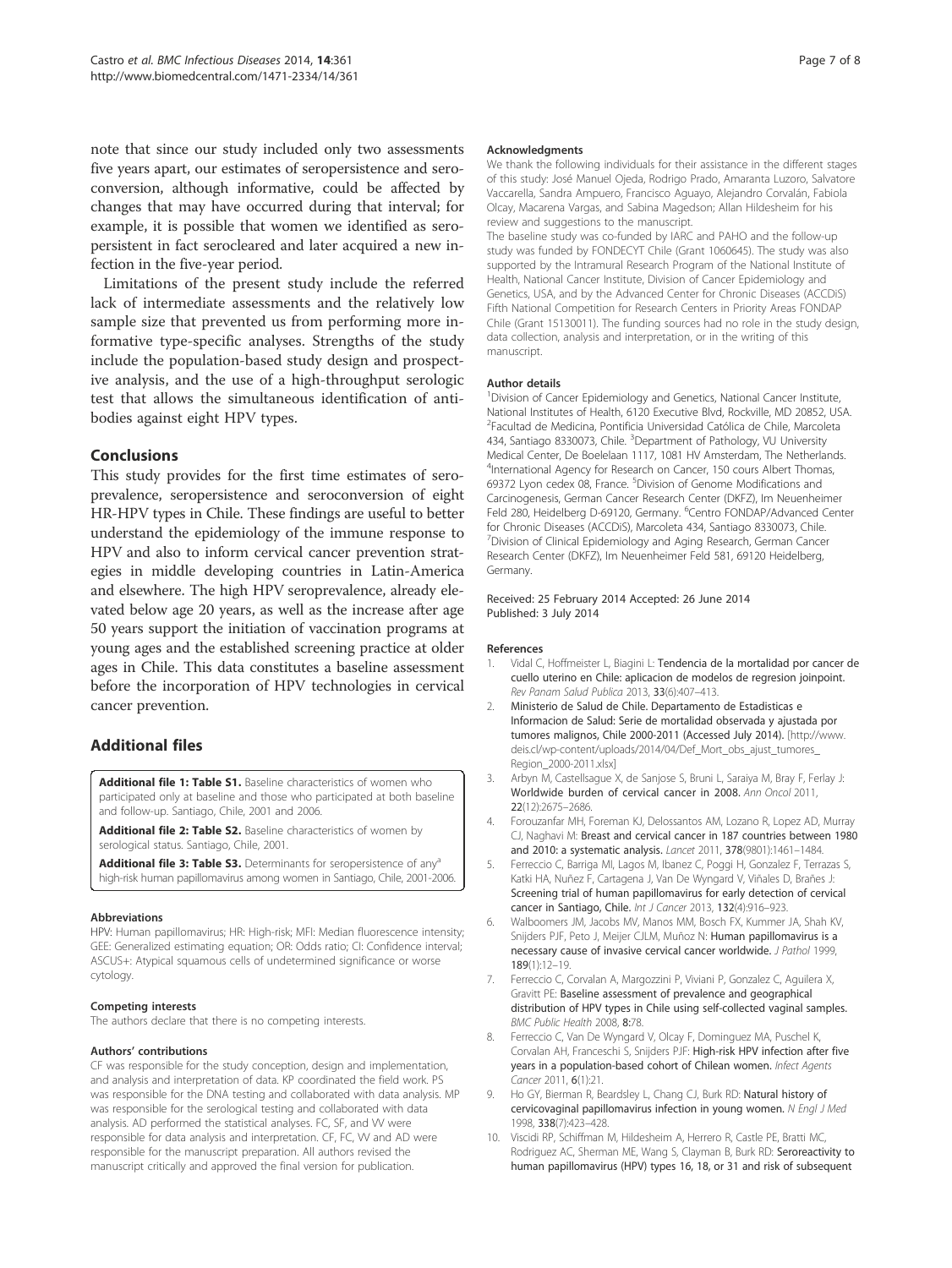note that since our study included only two assessments five years apart, our estimates of seropersistence and seroconversion, although informative, could be affected by changes that may have occurred during that interval; for example, it is possible that women we identified as seropersistent in fact serocleared and later acquired a new infection in the five-year period.

Limitations of the present study include the referred lack of intermediate assessments and the relatively low sample size that prevented us from performing more informative type-specific analyses. Strengths of the study include the population-based study design and prospective analysis, and the use of a high-throughput serologic test that allows the simultaneous identification of antibodies against eight HPV types.

### Conclusions

This study provides for the first time estimates of seroprevalence, seropersistence and seroconversion of eight HR-HPV types in Chile. These findings are useful to better understand the epidemiology of the immune response to HPV and also to inform cervical cancer prevention strategies in middle developing countries in Latin-America and elsewhere. The high HPV seroprevalence, already elevated below age 20 years, as well as the increase after age 50 years support the initiation of vaccination programs at young ages and the established screening practice at older ages in Chile. This data constitutes a baseline assessment before the incorporation of HPV technologies in cervical cancer prevention.

# Additional files

Additional file 1: Table S1. Baseline characteristics of women who participated only at baseline and those who participated at both baseline and follow-up. Santiago, Chile, 2001 and 2006.

Additional file 2: Table S2. Baseline characteristics of women by serological status. Santiago, Chile, 2001.

Additional file 3: Table S3. Determinants for seropersistence of any<sup>6</sup> high-risk human papillomavirus among women in Santiago, Chile, 2001-2006.

#### Abbreviations

HPV: Human papillomavirus; HR: High-risk; MFI: Median fluorescence intensity; GEE: Generalized estimating equation; OR: Odds ratio; CI: Confidence interval; ASCUS+: Atypical squamous cells of undetermined significance or worse cytology.

#### Competing interests

The authors declare that there is no competing interests.

#### Authors' contributions

CF was responsible for the study conception, design and implementation, and analysis and interpretation of data. KP coordinated the field work. PS was responsible for the DNA testing and collaborated with data analysis. MP was responsible for the serological testing and collaborated with data analysis. AD performed the statistical analyses. FC, SF, and VV were responsible for data analysis and interpretation. CF, FC, VV and AD were responsible for the manuscript preparation. All authors revised the manuscript critically and approved the final version for publication.

#### Acknowledgments

We thank the following individuals for their assistance in the different stages of this study: José Manuel Ojeda, Rodrigo Prado, Amaranta Luzoro, Salvatore Vaccarella, Sandra Ampuero, Francisco Aguayo, Alejandro Corvalán, Fabiola Olcay, Macarena Vargas, and Sabina Magedson; Allan Hildesheim for his review and suggestions to the manuscript.

The baseline study was co-funded by IARC and PAHO and the follow-up study was funded by FONDECYT Chile (Grant 1060645). The study was also supported by the Intramural Research Program of the National Institute of Health, National Cancer Institute, Division of Cancer Epidemiology and Genetics, USA, and by the Advanced Center for Chronic Diseases (ACCDiS) Fifth National Competition for Research Centers in Priority Areas FONDAP Chile (Grant 15130011). The funding sources had no role in the study design, data collection, analysis and interpretation, or in the writing of this manuscript.

#### Author details

<sup>1</sup> Division of Cancer Epidemiology and Genetics, National Cancer Institute National Institutes of Health, 6120 Executive Blvd, Rockville, MD 20852, USA. <sup>2</sup>Facultad de Medicina, Pontificia Universidad Católica de Chile, Marcoleta 434, Santiago 8330073, Chile. <sup>3</sup>Department of Pathology, VU University Medical Center, De Boelelaan 1117, 1081 HV Amsterdam, The Netherlands. 4 International Agency for Research on Cancer, 150 cours Albert Thomas, 69372 Lyon cedex 08, France. <sup>5</sup>Division of Genome Modifications and Carcinogenesis, German Cancer Research Center (DKFZ), Im Neuenheimer Feld 280, Heidelberg D-69120, Germany. <sup>6</sup>Centro FONDAP/Advanced Center for Chronic Diseases (ACCDiS), Marcoleta 434, Santiago 8330073, Chile. <sup>7</sup> Division of Clinical Epidemiology and Aging Research, German Cancer Research Center (DKFZ), Im Neuenheimer Feld 581, 69120 Heidelberg, Germany.

#### Received: 25 February 2014 Accepted: 26 June 2014 Published: 3 July 2014

#### References

- 1. Vidal C, Hoffmeister L, Biagini L: Tendencia de la mortalidad por cancer de cuello uterino en Chile: aplicacion de modelos de regresion joinpoint. Rev Panam Salud Publica 2013, 33(6):407-413.
- 2. Ministerio de Salud de Chile. Departamento de Estadisticas e Informacion de Salud: Serie de mortalidad observada y ajustada por tumores malignos, Chile 2000-2011 (Accessed July 2014). [http://www. deis.cl/wp-content/uploads/2014/04/Def\_Mort\_obs\_ajust\_tumores\_ Region\_2000-2011.xlsx]
- 3. Arbyn M, Castellsague X, de Sanjose S, Bruni L, Saraiya M, Bray F, Ferlay J: Worldwide burden of cervical cancer in 2008. Ann Oncol 2011, 22(12):2675–2686.
- 4. Forouzanfar MH, Foreman KJ, Delossantos AM, Lozano R, Lopez AD, Murray CJ, Naghavi M: Breast and cervical cancer in 187 countries between 1980 and 2010: a systematic analysis. Lancet 2011, 378(9801):1461–1484.
- 5. Ferreccio C, Barriga MI, Lagos M, Ibanez C, Poggi H, Gonzalez F, Terrazas S, Katki HA, Nuñez F, Cartagena J, Van De Wyngard V, Viñales D, Brañes J: Screening trial of human papillomavirus for early detection of cervical cancer in Santiago, Chile. Int J Cancer 2013, 132(4):916-923.
- 6. Walboomers JM, Jacobs MV, Manos MM, Bosch FX, Kummer JA, Shah KV, Snijders PJF, Peto J, Meijer CJLM, Muñoz N: Human papillomavirus is a necessary cause of invasive cervical cancer worldwide. J Pathol 1999, 189(1):12–19.
- 7. Ferreccio C, Corvalan A, Margozzini P, Viviani P, Gonzalez C, Aguilera X, Gravitt PE: Baseline assessment of prevalence and geographical distribution of HPV types in Chile using self-collected vaginal samples. BMC Public Health 2008, 8:78.
- 8. Ferreccio C, Van De Wyngard V, Olcay F, Dominguez MA, Puschel K, Corvalan AH, Franceschi S, Snijders PJF: High-risk HPV infection after five years in a population-based cohort of Chilean women. Infect Agents Cancer 2011, 6(1):21.
- 9. Ho GY, Bierman R, Beardsley L, Chang CJ, Burk RD: Natural history of cervicovaginal papillomavirus infection in young women. N Engl J Med 1998, 338(7):423–428.
- 10. Viscidi RP, Schiffman M, Hildesheim A, Herrero R, Castle PE, Bratti MC, Rodriguez AC, Sherman ME, Wang S, Clayman B, Burk RD: Seroreactivity to human papillomavirus (HPV) types 16, 18, or 31 and risk of subsequent